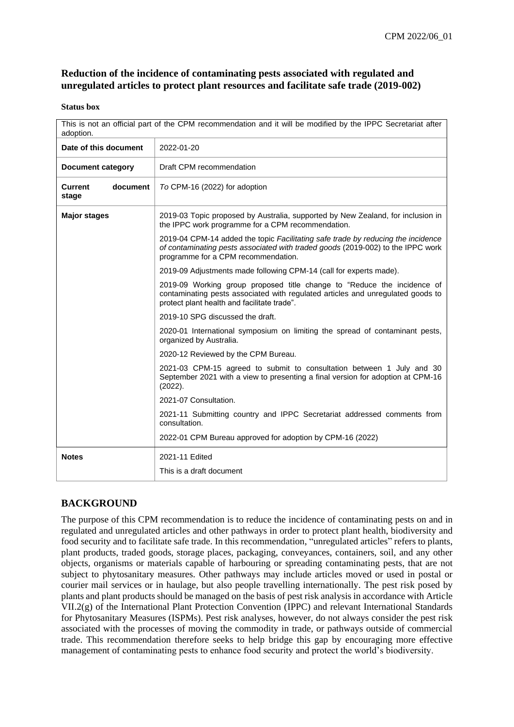# **Reduction of the incidence of contaminating pests associated with regulated and unregulated articles to protect plant resources and facilitate safe trade (2019-002)**

#### **Status box**

| This is not an official part of the CPM recommendation and it will be modified by the IPPC Secretariat after<br>adoption. |                                                                                                                                                                                                            |
|---------------------------------------------------------------------------------------------------------------------------|------------------------------------------------------------------------------------------------------------------------------------------------------------------------------------------------------------|
| Date of this document                                                                                                     | 2022-01-20                                                                                                                                                                                                 |
| <b>Document category</b>                                                                                                  | Draft CPM recommendation                                                                                                                                                                                   |
| document<br>Current<br>stage                                                                                              | To CPM-16 (2022) for adoption                                                                                                                                                                              |
| <b>Major stages</b>                                                                                                       | 2019-03 Topic proposed by Australia, supported by New Zealand, for inclusion in<br>the IPPC work programme for a CPM recommendation.                                                                       |
|                                                                                                                           | 2019-04 CPM-14 added the topic Facilitating safe trade by reducing the incidence<br>of contaminating pests associated with traded goods (2019-002) to the IPPC work<br>programme for a CPM recommendation. |
|                                                                                                                           | 2019-09 Adjustments made following CPM-14 (call for experts made).                                                                                                                                         |
|                                                                                                                           | 2019-09 Working group proposed title change to "Reduce the incidence of<br>contaminating pests associated with regulated articles and unregulated goods to<br>protect plant health and facilitate trade".  |
|                                                                                                                           | 2019-10 SPG discussed the draft.                                                                                                                                                                           |
|                                                                                                                           | 2020-01 International symposium on limiting the spread of contaminant pests,<br>organized by Australia.                                                                                                    |
|                                                                                                                           | 2020-12 Reviewed by the CPM Bureau.                                                                                                                                                                        |
|                                                                                                                           | 2021-03 CPM-15 agreed to submit to consultation between 1 July and 30<br>September 2021 with a view to presenting a final version for adoption at CPM-16<br>(2022).                                        |
|                                                                                                                           | 2021-07 Consultation.                                                                                                                                                                                      |
|                                                                                                                           | 2021-11 Submitting country and IPPC Secretariat addressed comments from<br>consultation.                                                                                                                   |
|                                                                                                                           | 2022-01 CPM Bureau approved for adoption by CPM-16 (2022)                                                                                                                                                  |
| <b>Notes</b>                                                                                                              | 2021-11 Edited                                                                                                                                                                                             |
|                                                                                                                           | This is a draft document                                                                                                                                                                                   |

# **BACKGROUND**

The purpose of this CPM recommendation is to reduce the incidence of contaminating pests on and in regulated and unregulated articles and other pathways in order to protect plant health, biodiversity and food security and to facilitate safe trade. In this recommendation, "unregulated articles" refers to plants, plant products, traded goods, storage places, packaging, conveyances, containers, soil, and any other objects, organisms or materials capable of harbouring or spreading contaminating pests, that are not subject to phytosanitary measures. Other pathways may include articles moved or used in postal or courier mail services or in haulage, but also people travelling internationally. The pest risk posed by plants and plant products should be managed on the basis of pest risk analysis in accordance with Article VII.2(g) of the International Plant Protection Convention (IPPC) and relevant International Standards for Phytosanitary Measures (ISPMs). Pest risk analyses, however, do not always consider the pest risk associated with the processes of moving the commodity in trade, or pathways outside of commercial trade. This recommendation therefore seeks to help bridge this gap by encouraging more effective management of contaminating pests to enhance food security and protect the world's biodiversity.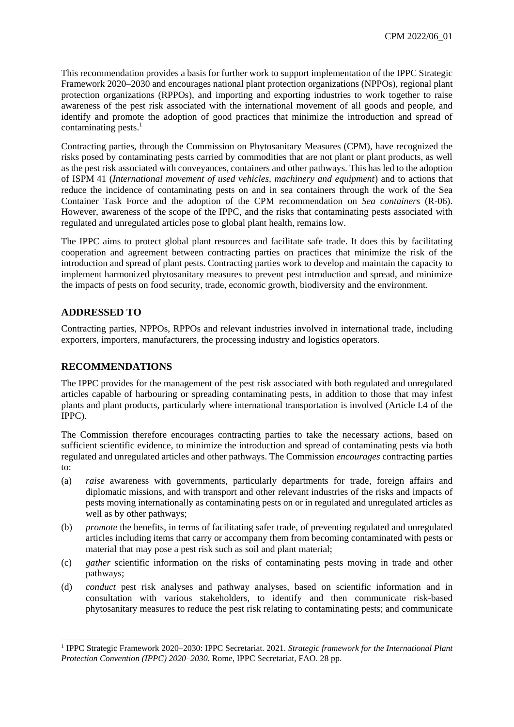This recommendation provides a basis for further work to support implementation of the IPPC Strategic Framework 2020–2030 and encourages national plant protection organizations (NPPOs), regional plant protection organizations (RPPOs), and importing and exporting industries to work together to raise awareness of the pest risk associated with the international movement of all goods and people, and identify and promote the adoption of good practices that minimize the introduction and spread of contaminating pests. 1

Contracting parties, through the Commission on Phytosanitary Measures (CPM), have recognized the risks posed by contaminating pests carried by commodities that are not plant or plant products, as well as the pest risk associated with conveyances, containers and other pathways. This has led to the adoption of ISPM 41 (*International movement of used vehicles, machinery and equipment*) and to actions that reduce the incidence of contaminating pests on and in sea containers through the work of the Sea Container Task Force and the adoption of the CPM recommendation on *Sea containers* (R-06). However, awareness of the scope of the IPPC, and the risks that contaminating pests associated with regulated and unregulated articles pose to global plant health, remains low.

The IPPC aims to protect global plant resources and facilitate safe trade. It does this by facilitating cooperation and agreement between contracting parties on practices that minimize the risk of the introduction and spread of plant pests. Contracting parties work to develop and maintain the capacity to implement harmonized phytosanitary measures to prevent pest introduction and spread, and minimize the impacts of pests on food security, trade, economic growth, biodiversity and the environment.

### **ADDRESSED TO**

1

Contracting parties, NPPOs, RPPOs and relevant industries involved in international trade, including exporters, importers, manufacturers, the processing industry and logistics operators.

#### **RECOMMENDATIONS**

The IPPC provides for the management of the pest risk associated with both regulated and unregulated articles capable of harbouring or spreading contaminating pests, in addition to those that may infest plants and plant products, particularly where international transportation is involved (Article I.4 of the IPPC).

The Commission therefore encourages contracting parties to take the necessary actions, based on sufficient scientific evidence, to minimize the introduction and spread of contaminating pests via both regulated and unregulated articles and other pathways. The Commission *encourages* contracting parties to:

- (a) *raise* awareness with governments, particularly departments for trade, foreign affairs and diplomatic missions, and with transport and other relevant industries of the risks and impacts of pests moving internationally as contaminating pests on or in regulated and unregulated articles as well as by other pathways;
- (b) *promote* the benefits, in terms of facilitating safer trade, of preventing regulated and unregulated articles including items that carry or accompany them from becoming contaminated with pests or material that may pose a pest risk such as soil and plant material;
- (c) *gather* scientific information on the risks of contaminating pests moving in trade and other pathways;
- (d) *conduct* pest risk analyses and pathway analyses, based on scientific information and in consultation with various stakeholders, to identify and then communicate risk-based phytosanitary measures to reduce the pest risk relating to contaminating pests; and communicate

<sup>1</sup> IPPC Strategic Framework 2020–2030: IPPC Secretariat. 2021. *Strategic framework for the International Plant Protection Convention (IPPC) 2020–2030*. Rome, IPPC Secretariat, FAO. 28 pp.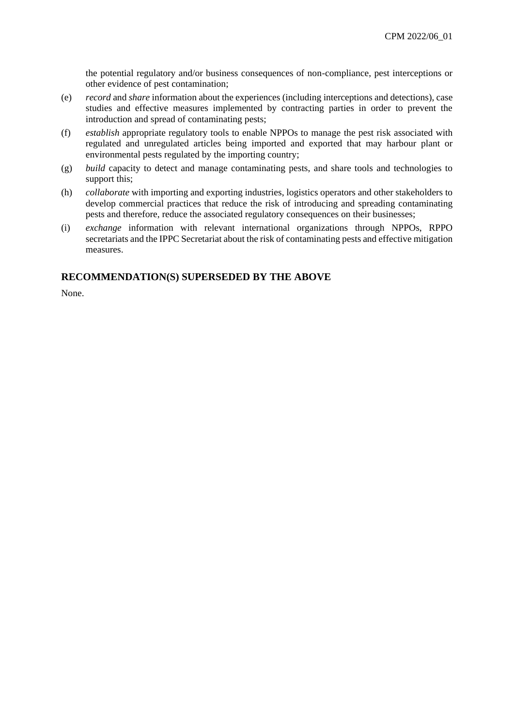the potential regulatory and/or business consequences of non-compliance, pest interceptions or other evidence of pest contamination;

- (e) *record* and *share* information about the experiences (including interceptions and detections), case studies and effective measures implemented by contracting parties in order to prevent the introduction and spread of contaminating pests;
- (f) *establish* appropriate regulatory tools to enable NPPOs to manage the pest risk associated with regulated and unregulated articles being imported and exported that may harbour plant or environmental pests regulated by the importing country;
- (g) *build* capacity to detect and manage contaminating pests, and share tools and technologies to support this;
- (h) *collaborate* with importing and exporting industries, logistics operators and other stakeholders to develop commercial practices that reduce the risk of introducing and spreading contaminating pests and therefore, reduce the associated regulatory consequences on their businesses;
- (i) *exchange* information with relevant international organizations through NPPOs, RPPO secretariats and the IPPC Secretariat about the risk of contaminating pests and effective mitigation measures.

#### **RECOMMENDATION(S) SUPERSEDED BY THE ABOVE**

None.